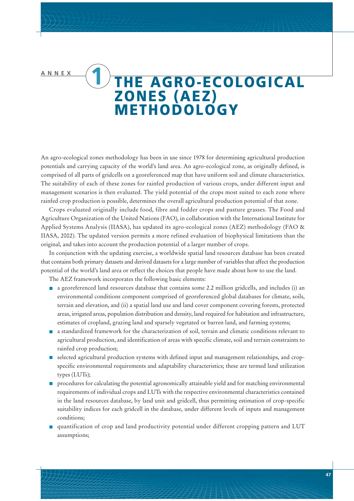# **ANNEX 1 THE AGRO-ECOLOGICAL ZONES (AEZ) METHODOLOGY**

An agro-ecological zones methodology has been in use since 1978 for determining agricultural production potentials and carrying capacity of the world's land area. An agro-ecological zone, as originally defined, is comprised of all parts of gridcells on a georeferenced map that have uniform soil and climate characteristics. The suitability of each of these zones for rainfed production of various crops, under different input and management scenarios is then evaluated. The yield potential of the crops most suited to each zone where rainfed crop production is possible, determines the overall agricultural production potential of that zone.

Crops evaluated originally include food, fibre and fodder crops and pasture grasses. The Food and Agriculture Organization of the United Nations (FAO), in collaboration with the International Institute for Applied Systems Analysis (IIASA), has updated its agro-ecological zones (AEZ) methodology (FAO & IIASA, 2002). The updated version permits a more refined evaluation of biophysical limitations than the original, and takes into account the production potential of a larger number of crops.

In conjunction with the updating exercise, a worldwide spatial land resources database has been created that contains both primary datasets and derived datasets for a large number of variables that affect the production potential of the world's land area or reflect the choices that people have made about how to use the land.

The AEZ framework incorporates the following basic elements:

- **a** a georeferenced land resources database that contains some 2.2 million gridcells, and includes (i) an environmental conditions component comprised of georeferenced global databases for climate, soils, terrain and elevation, and (ii) a spatial land use and land cover component covering forests, protected areas, irrigated areas, population distribution and density, land required for habitation and infrastructure, estimates of cropland, grazing land and sparsely vegetated or barren land, and farming systems;
- **a** a standardized framework for the characterization of soil, terrain and climatic conditions relevant to agricultural production, and identification of areas with specific climate, soil and terrain constraints to rainfed crop production;
- selected agricultural production systems with defined input and management relationships, and cropspecific environmental requirements and adaptability characteristics; these are termed land utilization types (LUTs);
- **procedures for calculating the potential agronomically attainable yield and for matching environmental** requirements of individual crops and LUTs with the respective environmental characteristics contained in the land resources database, by land unit and gridcell, thus permitting estimation of crop-specific suitability indices for each gridcell in the database, under different levels of inputs and management conditions;
- quantification of crop and land productivity potential under different cropping pattern and LUT assumptions;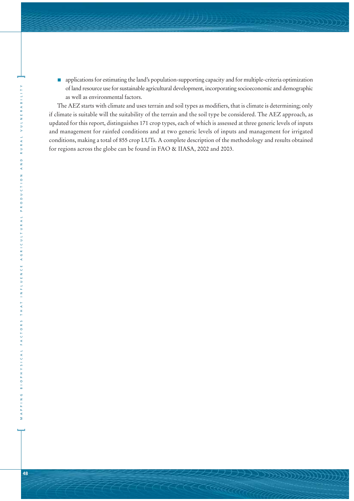**n** applications for estimating the land's population-supporting capacity and for multiple-criteria optimization of land resource use for sustainable agricultural development, incorporating socioeconomic and demographic as well as environmental factors.

The AEZ starts with climate and uses terrain and soil types as modifiers, that is climate is determining; only if climate is suitable will the suitability of the terrain and the soil type be considered. The AEZ approach, as updated for this report, distinguishes 171 crop types, each of which is assessed at three generic levels of inputs and management for rainfed conditions and at two generic levels of inputs and management for irrigated conditions, making a total of 855 crop LUTs. A complete description of the methodology and results obtained for regions across the globe can be found in FAO & IIASA, 2002 and 2003.

**[**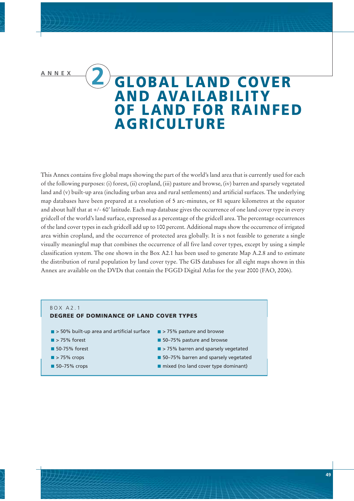# **ANNEX 2 GLOBAL LAND COVER AND AVAILABILITY OF LAND FOR RAINFED AGRICULTURE**

This Annex contains five global maps showing the part of the world's land area that is currently used for each of the following purposes: (i) forest, (ii) cropland, (iii) pasture and browse, (iv) barren and sparsely vegetated land and (v) built-up area (including urban area and rural settlements) and artificial surfaces. The underlying map databases have been prepared at a resolution of 5 arc-minutes, or 81 square kilometres at the equator and about half that at +/- 60' latitude. Each map database gives the occurrence of one land cover type in every gridcell of the world's land surface, expressed as a percentage of the gridcell area. The percentage occurrences of the land cover types in each gridcell add up to 100 percent. Additional maps show the occurrence of irrigated area within cropland, and the occurrence of protected area globally. It is s not feasible to generate a single visually meaningful map that combines the occurrence of all five land cover types, except by using a simple classification system. The one shown in the Box A2.1 has been used to generate Map A.2.8 and to estimate the distribution of rural population by land cover type. The GIS databases for all eight maps shown in this Annex are available on the DVDs that contain the FGGD Digital Atlas for the year 2000 (FAO, 2006).

### BOX A2.1

- **DEGREE OF DOMINANCE OF LAND COVER TYPES**
- so% built-up area and artificial surface states > 75% pasture and browse
- $\blacksquare$  > 75% forest
- 50-75% forest
- $\blacktriangleright$  75% crops
- 50-75% crops
- 
- 50-75% pasture and browse
- $\blacksquare$  > 75% barren and sparsely vegetated
- **50-75% barren and sparsely vegetated**
- $\blacksquare$  mixed (no land cover type dominant)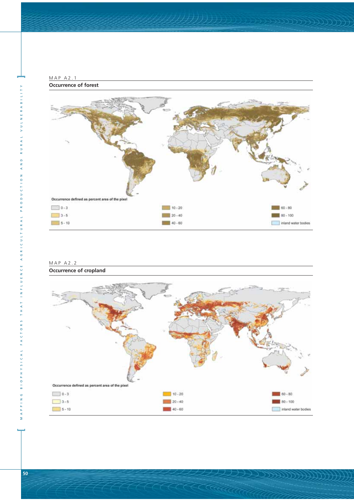

| MAP A2.2 |                               |
|----------|-------------------------------|
|          | <b>Occurrence of cropland</b> |



KATARA

VULNERABILIT

RURAL

AND

PRODUCTION

AGRICULTURAL

INFLUENCE

T H A T

FACTORS

**3 1 0 P H Y S I C A L** 

 $N$  N G

 $M \land$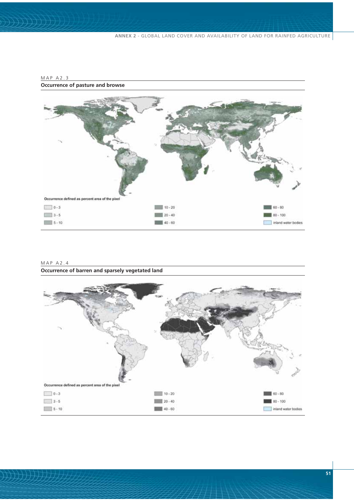**ANNEX 2** - GLOBAL LAND COVER AND AVAILABILITY OF LAND FOR RAINFED AGRICULTURE



### MAP A2.3 **Occurrence of pasture and browse**

| MAPA2.4 |  |  |                                                  |  |
|---------|--|--|--------------------------------------------------|--|
|         |  |  | Occurrence of barren and sparsely vegetated land |  |

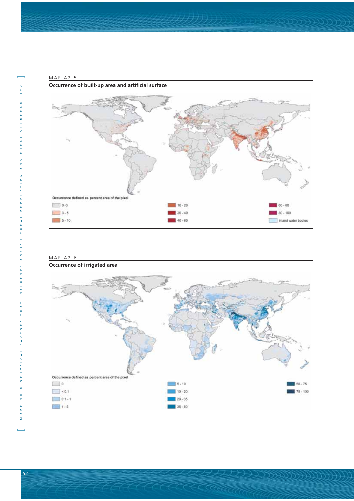

MAP A2.5 **Occurrence of built-up area and artificial surface**

#### MAP A2.6 **Occurrence of irrigated area**



—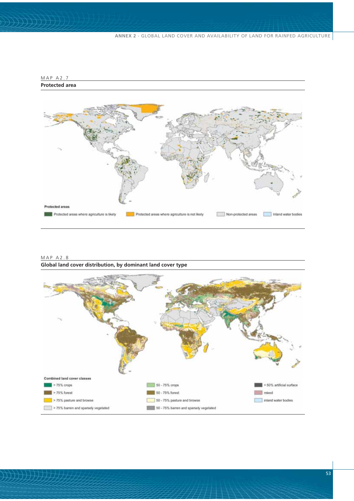

#### MAP A2.8 **Global land cover distribution, by dominant land cover type**

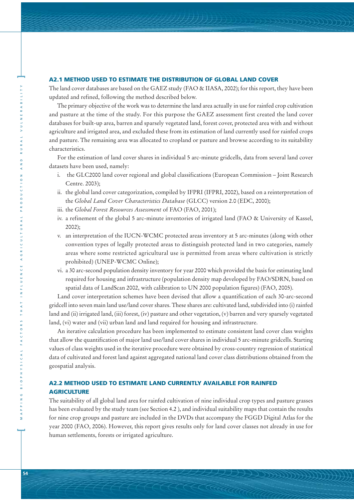#### **A2.1 METHOD USED TO ESTIMATE THE DISTRIBUTION OF GLOBAL LAND COVER**

The land cover databases are based on the GAEZ study (FAO & IIASA, 2002); for this report, they have been updated and refined, following the method described below.

The primary objective of the work was to determine the land area actually in use for rainfed crop cultivation and pasture at the time of the study. For this purpose the GAEZ assessment first created the land cover databases for built-up area, barren and sparsely vegetated land, forest cover, protected area with and without agriculture and irrigated area, and excluded these from its estimation of land currently used for rainfed crops and pasture. The remaining area was allocated to cropland or pasture and browse according to its suitability characteristics.

For the estimation of land cover shares in individual 5 arc-minute gridcells, data from several land cover datasets have been used, namely:

- i. the GLC2000 land cover regional and global classifications (European Commission Joint Research Centre. 2003);
- ii. the global land cover categorization, compiled by IFPRI (IFPRI, 2002), based on a reinterpretation of the *Global Land Cover Characteristics Database* (GLCC) version 2.0 (EDC, 2000);
- iii. the *Global Forest Resources Assessment* of FAO (FAO, 2001);
- iv. a refinement of the global 5 arc-minute inventories of irrigated land (FAO & University of Kassel, 2002);
- v. an interpretation of the IUCN-WCMC protected areas inventory at 5 arc-minutes (along with other convention types of legally protected areas to distinguish protected land in two categories, namely areas where some restricted agricultural use is permitted from areas where cultivation is strictly prohibited) (UNEP-WCMC Online);
- vi. a 30 arc-second population density inventory for year 2000 which provided the basis for estimating land required for housing and infrastructure (population density map developed by FAO/SDRN, based on spatial data of LandScan 2002, with calibration to UN 2000 population figures) (FAO, 2005).

Land cover interpretation schemes have been devised that allow a quantification of each 30-arc-second gridcell into seven main land use/land cover shares. These shares are: cultivated land, subdivided into (i) rainfed land and (ii) irrigated land, (iii) forest, (iv) pasture and other vegetation, (v) barren and very sparsely vegetated land, (vi) water and (vii) urban land and land required for housing and infrastructure.

An iterative calculation procedure has been implemented to estimate consistent land cover class weights that allow the quantification of major land use/land cover shares in individual 5 arc-minute gridcells. Starting values of class weights used in the iterative procedure were obtained by cross-country regression of statistical data of cultivated and forest land against aggregated national land cover class distributions obtained from the geospatial analysis.

## **A2.2 METHOD USED TO ESTIMATE LAND CURRENTLY AVAILABLE FOR RAINFED AGRICULTURE**

The suitability of all global land area for rainfed cultivation of nine individual crop types and pasture grasses has been evaluated by the study team (see Section 4.2 ), and individual suitability maps that contain the results for nine crop groups and pasture are included in the DVDs that accompany the FGGD Digital Atlas for the year 2000 (FAO, 2006). However, this report gives results only for land cover classes not already in use for human settlements, forests or irrigated agriculture.

**]**

**[**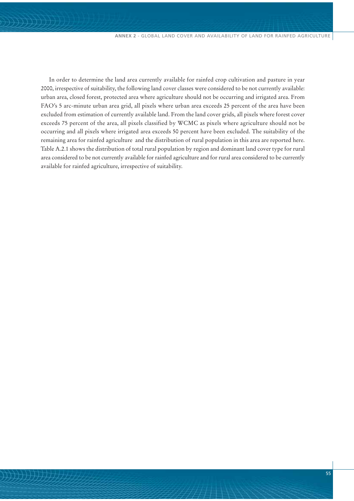In order to determine the land area currently available for rainfed crop cultivation and pasture in year 2000, irrespective of suitability, the following land cover classes were considered to be not currently available: urban area, closed forest, protected area where agriculture should not be occurring and irrigated area. From FAO's 5 arc-minute urban area grid, all pixels where urban area exceeds 25 percent of the area have been excluded from estimation of currently available land. From the land cover grids, all pixels where forest cover exceeds 75 percent of the area, all pixels classified by WCMC as pixels where agriculture should not be occurring and all pixels where irrigated area exceeds 50 percent have been excluded. The suitability of the remaining area for rainfed agriculture and the distribution of rural population in this area are reported here. Table A.2.1 shows the distribution of total rural population by region and dominant land cover type for rural area considered to be not currently available for rainfed agriculture and for rural area considered to be currently available for rainfed agriculture, irrespective of suitability.